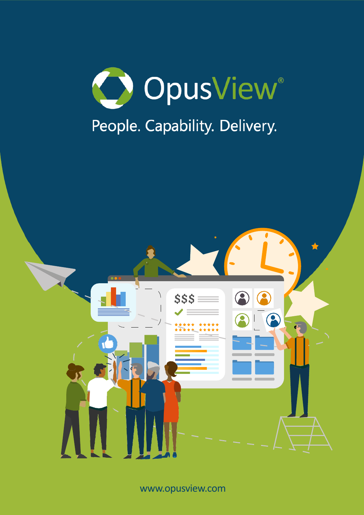



www.opusview.com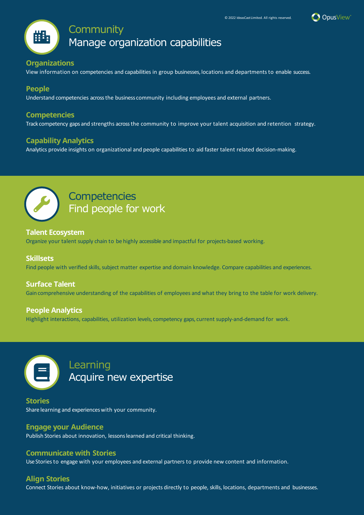

# **Community**

Manage organization capabilities

# **Organizations**

View information on competencies and capabilities in group businesses, locations and departments to enable success.

# **People**

睡

Understand competencies across the business community including employees and external partners.

# **Competencies**

Track competency gaps and strengths across the community to improve your talent acquisition and retention strategy.

# **Capability Analytics**

Analytics provide insights on organizational and people capabilities to aid faster talent related decision-making.



# **Competencies** Find people for work

### **Talent Ecosystem**

Organize your talent supply chain to be highly accessible and impactful for projects-based working.

#### **Skillsets**

Find people with verified skills, subject matter expertise and domain knowledge. Compare capabilities and experiences.

# **Surface Talent**

Gain comprehensive understanding of the capabilities of employees and what they bring to the table for work delivery.

#### **People Analytics**

Highlight interactions, capabilities, utilization levels, competency gaps, current supply-and-demand for work.



# Learning Acquire new expertise

**Stories** Share learning and experiences with your community.

# **Engage your Audience**

Publish Stories about innovation, lessons learned and critical thinking.

#### **Communicate with Stories**

Use Stories to engage with your employees and external partners to provide new content and information.

# **Align Stories**

Connect Stories about know-how, initiatives or projects directly to people, skills, locations, departments and businesses.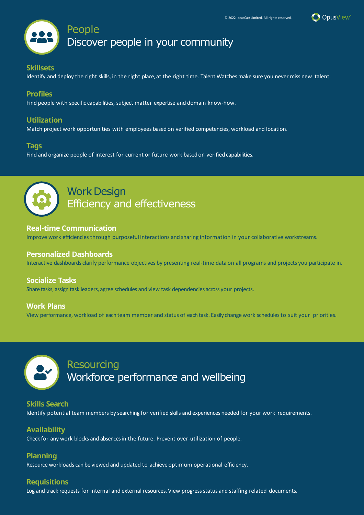



# **Skillsets**

Identify and deploy the right skills, in the right place, at the right time. Talent Watches make sure you never miss new talent.

# **Profiles**

Find people with specific capabilities, subject matter expertise and domain know-how.

# **Utilization**

Match project work opportunities with employees based on verified competencies, workload and location.

### **Tags**

Find and organize people of interest for current or future work based on verified capabilities.



# **Work Design** Efficiency and effectiveness

### **Real-time Communication**

Improve work efficiencies through purposeful interactions and sharing information in your collaborative workstreams.

### **Personalized Dashboards**

Interactive dashboards clarify performance objectives by presenting real-time data on all programs and projects you participate in.

# **Socialize Tasks**

Share tasks, assign task leaders, agree schedules and view task dependencies across your projects.

# **Work Plans**

View performance, workload of each team member and status of each task. Easily change work schedules to suit your priorities.



# Resourcing Workforce performance and wellbeing

# **Skills Search**

Identify potential team members by searching for verified skills and experiences needed for your work requirements.

# **Availability**

Check for any work blocks and absences in the future. Prevent over-utilization of people.

# **Planning**

Resource workloads can be viewed and updated to achieve optimum operational efficiency.

# **Requisitions**

Log and track requests for internal and external resources. View progress status and staffing related documents.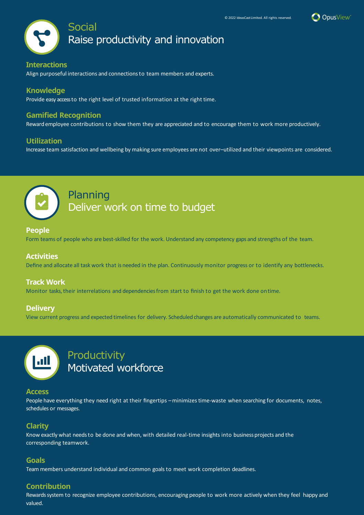



Raise productivity and innovation

#### **Interactions**

Align purposeful interactions and connections to team members and experts.

### **Knowledge**

Provide easy access to the right level of trusted information at the right time.

# **Gamified Recognition**

Reward employee contributions to show them they are appreciated and to encourage them to work more productively.

#### **Utilization**

Increase team satisfaction and wellbeing by making sure employees are not over–utilized and their viewpoints are considered.



# Planning Deliver work on time to budget

#### **People**

Form teams of people who are best-skilled for the work. Understand any competency gaps and strengths of the team.

#### **Activities**

Define and allocate all task work that is needed in the plan. Continuously monitor progress or to identify any bottlenecks.

#### **Track Work**

Monitor tasks, their interrelations and dependencies from start to finish to get the work done ontime.

#### **Delivery**

View current progress and expected timelines for delivery. Scheduled changes are automatically communicated to teams.



Productivity Motivated workforce

#### **Access**

People have everything they need right at their fingertips –minimizes time-waste when searching for documents, notes, schedules or messages.

# **Clarity**

Know exactly what needs to be done and when, with detailed real-time insights into business projects and the corresponding teamwork.

#### **Goals**

Team members understand individual and common goals to meet work completion deadlines.

### **Contribution**

Rewards system to recognize employee contributions, encouraging people to work more actively when they feel happy and valued.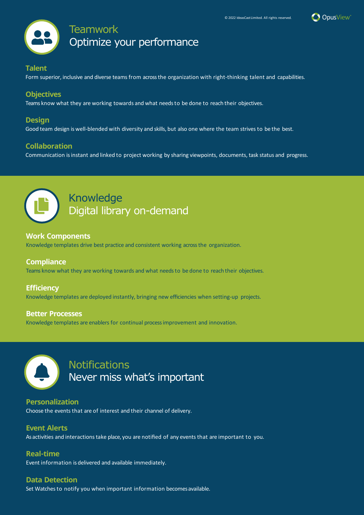



# **Talent**

Form superior, inclusive and diverse teams from across the organization with right-thinking talent and capabilities.

# **Objectives**

Teams know what they are working towards and what needs to be done to reach their objectives.

# **Design**

Good team design is well-blended with diversity and skills, but also one where the team strives to be the best.

# **Collaboration**

Communication is instant and linked to project working by sharing viewpoints, documents, task status and progress.



# Knowledge Digital library on-demand

# **Work Components**

Knowledge templates drive best practice and consistent working across the organization.

# **Compliance**

Teams know what they are working towards and what needs to be done to reach their objectives.

# **Efficiency**

Knowledge templates are deployed instantly, bringing new efficiencies when setting-up projects.

# **Better Processes**

Knowledge templates are enablers for continual process improvement and innovation.



# **Notifications** Never miss what's important

**Personalization** Choose the events that are of interest and their channel of delivery.

# **Event Alerts**

As activities and interactions take place, you are notified of any events that are important to you.

# **Real-time**

Event information is delivered and available immediately.

# **Data Detection**

Set Watches to notify you when important information becomesavailable.